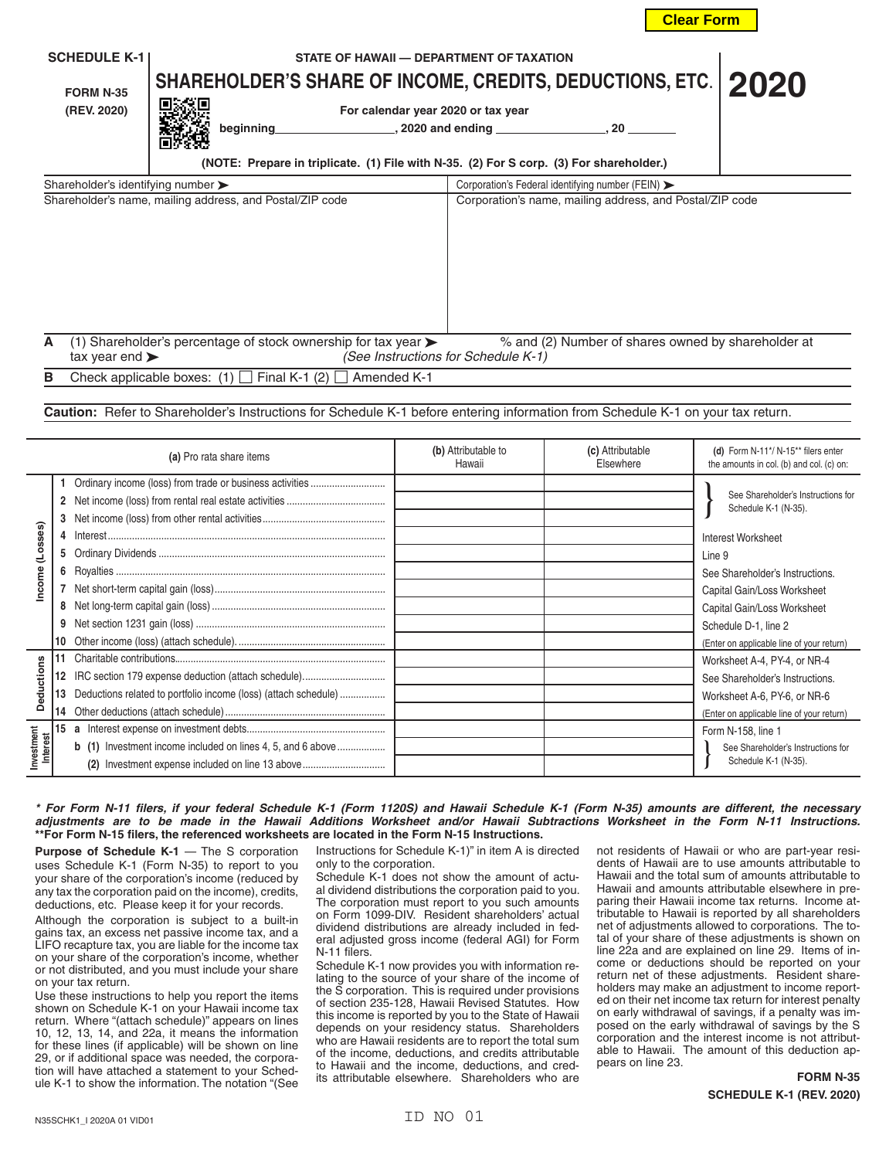| <b>SCHEDULE K-1</b><br><b>FORM N-35</b><br>(REV. 2020)                                                      | STATE OF HAWAII - DEPARTMENT OF TAXATION<br>SHAREHOLDER'S SHARE OF INCOME, CREDITS, DEDUCTIONS, ETC.  <br>For calendar year 2020 or tax year<br>beginning<br>(NOTE: Prepare in triplicate. (1) File with N-35. (2) For S corp. (3) For shareholder.) | $, 2020$ and ending $, 20$                                                                | 2020 |  |
|-------------------------------------------------------------------------------------------------------------|------------------------------------------------------------------------------------------------------------------------------------------------------------------------------------------------------------------------------------------------------|-------------------------------------------------------------------------------------------|------|--|
| Shareholder's identifying number $\blacktriangleright$<br>Corporation's Federal identifying number (FEIN) > |                                                                                                                                                                                                                                                      |                                                                                           |      |  |
|                                                                                                             | Shareholder's name, mailing address, and Postal/ZIP code                                                                                                                                                                                             | Corporation's name, mailing address, and Postal/ZIP code                                  |      |  |
| А<br>tax year end $\blacktriangleright$                                                                     | (1) Shareholder's percentage of stock ownership for tax year $\blacktriangleright$                                                                                                                                                                   | % and (2) Number of shares owned by shareholder at<br>(See Instructions for Schedule K-1) |      |  |

**B** Check applicable boxes:  $(1)$   $\Box$  Final K-1  $(2)$   $\Box$  Amended K-1

**Caution:** Refer to Shareholder's Instructions for Schedule K-1 before entering information from Schedule K-1 on your tax return.

| (a) Pro rata share items                    |        |                                                                                                                                                                                           | (b) Attributable to<br>Hawaii | (c) Attributable<br>Fisewhere | (d) Form N-11*/ N-15** filers enter<br>the amounts in col. (b) and col. (c) on:                                                                                                                                                                                         |
|---------------------------------------------|--------|-------------------------------------------------------------------------------------------------------------------------------------------------------------------------------------------|-------------------------------|-------------------------------|-------------------------------------------------------------------------------------------------------------------------------------------------------------------------------------------------------------------------------------------------------------------------|
| (Losses)<br>Income                          | 4<br>5 |                                                                                                                                                                                           |                               |                               | See Shareholder's Instructions for<br>Schedule K-1 (N-35).<br><b>Interest Worksheet</b><br>Line 9<br>See Shareholder's Instructions.<br>Capital Gain/Loss Worksheet<br>Capital Gain/Loss Worksheet<br>Schedule D-1, line 2<br>(Enter on applicable line of your return) |
| <b>Deductions</b><br>Investment<br>Interest | 13     | Deductions related to portfolio income (loss) (attach schedule)<br><b>b</b> (1) Investment income included on lines 4, 5, and 6 above<br>(2) Investment expense included on line 13 above |                               |                               | Worksheet A-4, PY-4, or NR-4<br>See Shareholder's Instructions.<br>Worksheet A-6, PY-6, or NR-6<br>(Enter on applicable line of your return)<br>Form N-158, line 1<br>See Shareholder's Instructions for<br>Schedule K-1 (N-35).                                        |

## *\* For Form N-11 filers, if your federal Schedule K-1 (Form 1120S) and Hawaii Schedule K-1 (Form N-35) amounts are different, the necessary adjustments are to be made in the Hawaii Additions Worksheet and/or Hawaii Subtractions Worksheet in the Form N-11 Instructions.* **\*\*For Form N-15 filers, the referenced worksheets are located in the Form N-15 Instructions.**

**Purpose of Schedule K-1** — The S corporation uses Schedule K-1 (Form N-35) to report to you your share of the corporation's income (reduced by any tax the corporation paid on the income), credits, deductions, etc. Please keep it for your records.

Although the corporation is subject to a built-in gains tax, an excess net passive income tax, and a LIFO recapture tax, you are liable for the income tax on your share of the corporation's income, whether or not distributed, and you must include your share on your tax return.

Use these instructions to help you report the items shown on Schedule K-1 on your Hawaii income tax return. Where "(attach schedule)" appears on lines 10, 12, 13, 14, and 22a, it means the information for these lines (if applicable) will be shown on line 29, or if additional space was needed, the corporation will have attached a statement to your Schedule K-1 to show the information. The notation "(See

Instructions for Schedule K-1)" in item A is directed only to the corporation.

Schedule K-1 does not show the amount of actual dividend distributions the corporation paid to you. The corporation must report to you such amounts on Form 1099-DIV. Resident shareholders' actual dividend distributions are already included in federal adjusted gross income (federal AGI) for Form N-11 filers.

Schedule K-1 now provides you with information relating to the source of your share of the income of the S corporation. This is required under provisions of section 235-128, Hawaii Revised Statutes. How this income is reported by you to the State of Hawaii depends on your residency status. Shareholders who are Hawaii residents are to report the total sum of the income, deductions, and credits attributable to Hawaii and the income, deductions, and credits attributable elsewhere. Shareholders who are

not residents of Hawaii or who are part-year residents of Hawaii are to use amounts attributable to Hawaii and the total sum of amounts attributable to Hawaii and amounts attributable elsewhere in preparing their Hawaii income tax returns. Income attributable to Hawaii is reported by all shareholders net of adjustments allowed to corporations. The total of your share of these adjustments is shown on line 22a and are explained on line 29. Items of income or deductions should be reported on your return net of these adjustments. Resident shareholders may make an adjustment to income reported on their net income tax return for interest penalty on early withdrawal of savings, if a penalty was imposed on the early withdrawal of savings by the S corporation and the interest income is not attributable to Hawaii. The amount of this deduction appears on line 23.

**Clear Form**